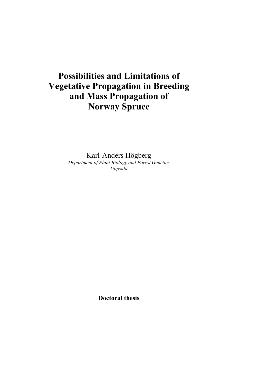# **Possibilities and Limitations of Vegetative Propagation in Breeding and Mass Propagation of Norway Spruce**

Karl-Anders Högberg *Department of Plant Biology and Forest Genetics Uppsala* 

**Doctoral thesis**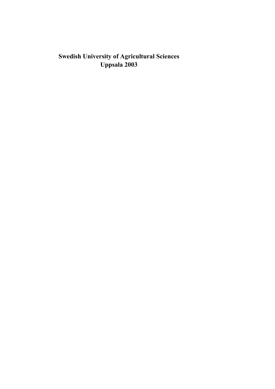# **Swedish University of Agricultural Sciences Uppsala 2003**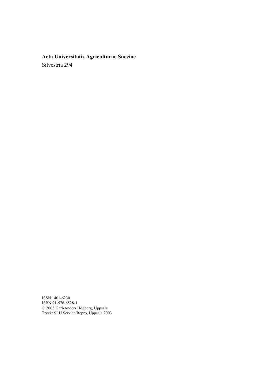# **Acta Universitatis Agriculturae Sueciae**  Silvestria 294

ISSN 1401-6230 ISBN 91-576-6528-1 © 2003 Karl-Anders Högberg, Uppsala Tryck: SLU Service/Repro, Uppsala 2003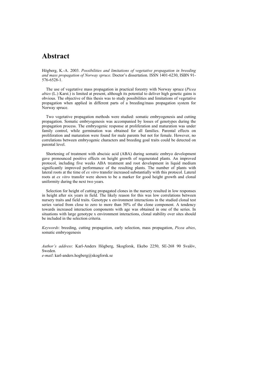### **Abstract**

Högberg, K.-A. 2003. *Possibilities and limitations of vegetative propagation in breeding and mass propagation of Norway spruce*. Doctor's dissertation. ISSN 1401-6230, ISBN 91- 576-6528-1.

The use of vegetative mass propagation in practical forestry with Norway spruce (*Picea abies* (L.) Karst.) is limited at present, although its potential to deliver high genetic gains is obvious. The objective of this thesis was to study possibilities and limitations of vegetative propagation when applied in different parts of a breeding/mass propagation system for Norway spruce.

Two vegetative propagation methods were studied: somatic embryogenesis and cutting propagation. Somatic embryogenesis was accompanied by losses of genotypes during the propagation process. The embryogenic response at proliferation and maturation was under family control, while germination was obtained for all families. Parental effects on proliferation and maturation were found for male parents but not for female. However, no correlations between embryogenic characters and breeding goal traits could be detected on parental level.

Shortening of treatment with abscisic acid (ABA) during somatic embryo development gave pronounced positive effects on height growth of regenerated plants. An improved protocol, including five weeks ABA treatment and root development in liquid medium significantly improved performance of the resulting plants. The number of plants with lateral roots at the time of *ex vitro* transfer increased substantially with this protocol. Lateral roots at *ex vitro* transfer were shown to be a marker for good height growth and clonal uniformity during the next two years.

Selection for height of cutting propagated clones in the nursery resulted in low responses in height after six years in field. The likely reason for this was low correlations between nursery traits and field traits. Genotype x environment interactions in the studied clonal test series varied from close to zero to more than 50% of the clone component. A tendency towards increased interaction components with age was obtained in one of the series. In situations with large genotype x environment interactions, clonal stability over sites should be included in the selection criteria.

*Keywords*: breeding, cutting propagation, early selection, mass propagation, *Picea abies*, somatic embryogenesis

*Author's address*: Karl-Anders Högberg, Skogforsk, Ekebo 2250, SE-268 90 Svalöv, Sweden. *e-mail*: karl-anders.hogberg@skogforsk.se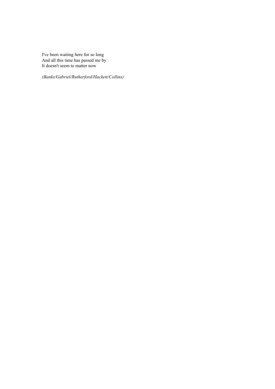I've been waiting here for so long And all this time has passed me by It doesn't seem to matter now

*(Banks/Gabriel/Rutherford/Hackett/Collins)*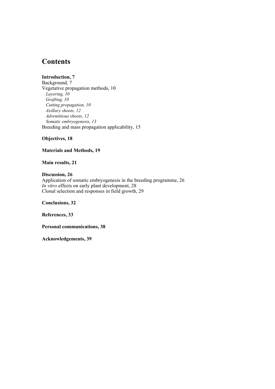# **Contents**

**Introduction, 7**  Background, 7 Vegetative propagation methods, 10 *Layering, 10 Grafting, 10 Cutting propagation, 10 Axillary shoots, 12 Adventitious shoots, 12 Somatic embryogenesis, 13*  Breeding and mass propagation applicability, 15

**Objectives, 18** 

**Materials and Methods, 19** 

**Main results, 21** 

**Discussion, 26**  Application of somatic embryogenesis in the breeding programme, 26 *In vitro* effects on early plant development, 28 Clonal selection and responses in field growth, 29

**Conclusions, 32** 

**References, 33** 

**Personal communications, 38** 

**Acknowledgements, 39**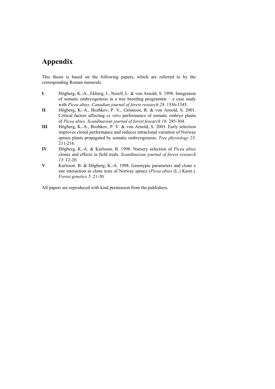# **Appendix**

This thesis is based on the following papers, which are referred to by the corresponding Roman numerals.

- **I**. Högberg, K.-A., Ekberg, I., Norell, L. & von Arnold, S. 1998. Integration of somatic embryogenesis in a tree breeding programme – a case study with *Picea abies*. *Canadian journal of forest research 28*: 1536-1545.
- **II**. Högberg, K.-A., Bozhkov, P. V., Grönroos, R. & von Arnold, S. 2001. Critical factors affecting *ex vitro* performance of somatic embryo plants of *Picea abies*. *Scandinavian journal of forest fesearch 16*: 295-304.
- **III**. Högberg, K.-A., Bozhkov, P. V. & von Arnold, S. 2003. Early selection improves clonal performance and reduces intraclonal variation of Norway spruce plants propagated by somatic embryogenesis. *Tree physiology 23*: 211-216.
- **IV**. Högberg, K.-A. & Karlsson, B. 1998. Nursery selection of *Picea abies* clones and effects in field trials. *Scandinavian journal of forest research 13*: 12-20.
- **V**. Karlsson. B. & Högberg, K.-A. 1998. Genotypic parameters and clone x site interaction in clone tests of Norway spruce (*Picea abies* (L.) Karst.). *Forest genetics 5*: 21-30.

All papers are reproduced with kind permission from the publishers.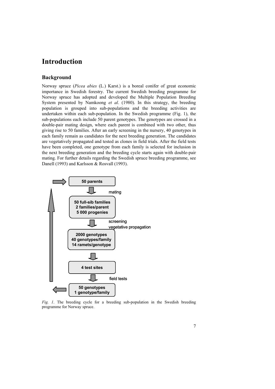### **Introduction**

### **Background**

Norway spruce (*Picea abies* (L.) Karst.) is a boreal conifer of great economic importance in Swedish forestry. The current Swedish breeding programme for Norway spruce has adopted and developed the Multiple Population Breeding System presented by Namkoong *et al*. (1980). In this strategy, the breeding population is grouped into sub-populations and the breeding activities are undertaken within each sub-population. In the Swedish programme (Fig. 1), the sub-populations each include 50 parent genotypes. The genotypes are crossed in a double-pair mating design, where each parent is combined with two other, thus giving rise to 50 families. After an early screening in the nursery, 40 genotypes in each family remain as candidates for the next breeding generation. The candidates are vegetatively propagated and tested as clones in field trials. After the field tests have been completed, one genotype from each family is selected for inclusion in the next breeding generation and the breeding cycle starts again with double-pair mating. For further details regarding the Swedish spruce breeding programme, see Danell (1993) and Karlsson & Rosvall (1993).



*Fig. 1*. The breeding cycle for a breeding sub-population in the Swedish breeding programme for Norway spruce.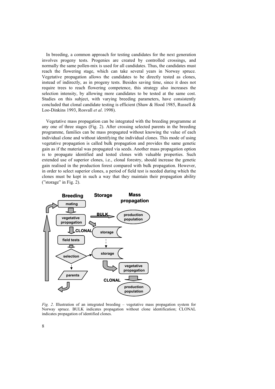In breeding, a common approach for testing candidates for the next generation involves progeny tests. Progenies are created by controlled crossings, and normally the same pollen-mix is used for all candidates. Thus, the candidates must reach the flowering stage, which can take several years in Norway spruce. Vegetative propagation allows the candidates to be directly tested as clones, instead of indirectly, as in progeny tests. Besides saving time, since it does not require trees to reach flowering competence, this strategy also increases the selection intensity, by allowing more candidates to be tested at the same cost. Studies on this subject, with varying breeding parameters, have consistently concluded that clonal candidate testing is efficient (Shaw & Hood 1985, Russell  $\&$ Loo-Dinkins 1993, Rosvall *et al*. 1998).

Vegetative mass propagation can be integrated with the breeding programme at any one of three stages (Fig. 2). After crossing selected parents in the breeding programme, families can be mass propagated without knowing the value of each individual clone and without identifying the individual clones. This mode of using vegetative propagation is called bulk propagation and provides the same genetic gain as if the material was propagated via seeds. Another mass propagation option is to propagate identified and tested clones with valuable properties. Such extended use of superior clones, i.e., clonal forestry, should increase the genetic gain realised in the production forest compared with bulk propagation. However, in order to select superior clones, a period of field test is needed during which the clones must be kept in such a way that they maintain their propagation ability ("storage" in Fig. 2).



 $Fig. 2$ . Illustration of an integrated breeding – vegetative mass propagation system for Norway spruce. BULK indicates propagation without clone identification; CLONAL indicates propagation of identified clones.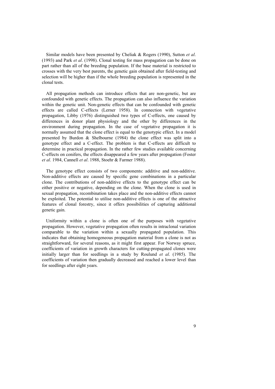Similar models have been presented by Cheliak & Rogers (1990), Sutton *et al*. (1993) and Park *et al*. (1998). Clonal testing for mass propagation can be done on part rather than all of the breeding population. If the base material is restricted to crosses with the very best parents, the genetic gain obtained after field-testing and selection will be higher than if the whole breeding population is represented in the clonal tests.

confounded with genetic effects. The propagation can also influence the variation All propagation methods can introduce effects that are non-genetic, but are within the genetic unit. Non-genetic effects that can be confounded with genetic effects are called C-effects (Lerner 1958). In connection with vegetative propagation, Libby (1976) distinguished two types of C-effects, one caused by differences in donor plant physiology and the other by differences in the environment during propagation. In the case of vegetative propagation it is normally assumed that the clone effect is equal to the genotypic effect. In a model presented by Burdon & Shelbourne (1984) the clone effect was split into a genotype effect and a C-effect. The problem is that C-effects are difficult to determine in practical propagation. In the rather few studies available concerning C-effects on conifers, the effects disappeared a few years after propagation (Foster *et al*. 1984, Cannell *et al*. 1988, Stoehr & Farmer 1988).

Non-additive effects are caused by specific gene combinations in a particular clone. The contributions of non-additive effects to the genotype effect can be The genotype effect consists of two components: additive and non-additive. either positive or negative, depending on the clone. When the clone is used in sexual propagation, recombination takes place and the non-additive effects cannot be exploited. The potential to utilise non-additive effects is one of the attractive features of clonal forestry, since it offers possibilities of capturing additional genetic gain.

propagation. However, vegetative propagation often results in intraclonal variation comparable to the variation within a sexually propagated population. This Uniformity within a clone is often one of the purposes with vegetative indicates that obtaining homogeneous propagation material from a clone is not as straightforward, for several reasons, as it might first appear. For Norway spruce, coefficients of variation in growth characters for cutting-propagated clones were initially larger than for seedlings in a study by Roulund *et al*. (1985). The coefficients of variation then gradually decreased and reached a lower level than for seedlings after eight years.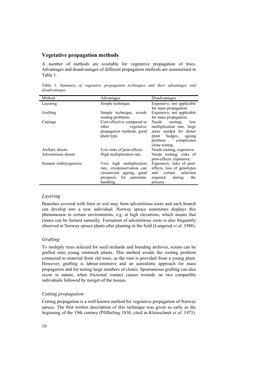### **Vegetative propagation methods**

A number of methods are available for vegetative propagation of trees. Advantages and disadvantages of different propagation methods are summarised in Table 1.

Table 1. *Summary of vegetative propagation techniques and their advantages and disadvantages*

| Method                | Advantages                 | Disadvantages               |
|-----------------------|----------------------------|-----------------------------|
| Layering              | Simple technique.          | Expensive, not applicable   |
|                       |                            | for mass propagation.       |
| Grafting              | Simple technique, avoids   | Expensive, not applicable   |
|                       | rooting problems.          | for mass propagation.       |
| Cuttings              | Cost-effective compared to | Needs<br>rooting.<br>low    |
|                       | other<br>vegetative        | multiplication rate, large  |
|                       | propagation methods, good  | areas needed for donor      |
|                       | plant type.                | plant hedges,<br>ageing     |
|                       |                            | problem complicates         |
|                       |                            | clone testing.              |
| Axillary shoots       | Low risks of post-effects. | Needs rooting, expensive.   |
| Adventitious shoots   | High multiplication rate.  | Needs rooting, risks of     |
|                       |                            | post-effects, expensive.    |
| Somatic embryogenesis | Very high multiplication   | Expensive, risks of post-   |
|                       | rate, cryopreservation can | effects, loss of genotypes  |
|                       | circumvent ageing, good    | selection<br>certain<br>and |
|                       | prospects for<br>automatic | the<br>required<br>during   |
|                       | handling.                  | process.                    |

### *Layering*

Branches covered with litter or soil may form adventitious roots and each branch can develop into a new individual. Norway spruce sometimes displays this phenomenon in certain environments, e.g. at high elevations, which means that clones can be formed naturally. Formation of adventitious roots is also frequently observed in Norway spruce plants after planting in the field (Langerud *et al*. 1988).

#### *Grafting*

To multiply trees selected for seed orchards and breeding archives, scions can be grafted onto young rootstock plants. This method avoids the rooting problem connected to material from old trees, as the root is provided from a young plant. However, grafting is labour-intensive and an unrealistic approach for mass propagation and for testing large numbers of clones. Spontaneous grafting can also occur in nature, when frictional contact causes wounds on two compatible individuals followed by merger of the tissues.

#### *Cutting propagation*

Cutting propagation is a well-known method for vegetative propagation of Norway spruce. The first written description of this technique was given as early as the beginning of the 19th century (Pfifferling 1830, cited in Kleinschmit *et al*. 1973).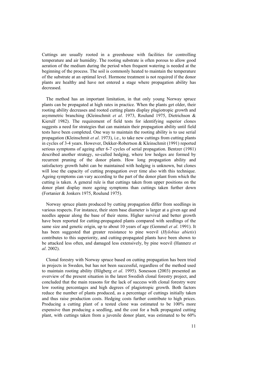Cuttings are usually rooted in a greenhouse with facilities for controlling temperature and air humidity. The rooting substrate is often porous to allow good aeration of the medium during the period when frequent watering is needed at the beginning of the process. The soil is commonly heated to maintain the temperature of the substrate at an optimal level. Hormone treatment is not required if the donor plants are healthy and have not entered a stage where propagation ability has decreased.

The method has an important limitation, in that only young Norway spruce plants can be propagated at high rates in practice. When the plants get older, their rooting ability decreases and rooted cutting plants display plagiotropic growth and asymmetric branching (Kleinschmit *et al*. 1973, Roulund 1975, Dietrichson & Kierulf 1982). The requirement of field tests for identifying superior clones suggests a need for strategies that can maintain their propagation ability until field tests have been completed. One way to maintain the rooting ability is to use serial propagation (Kleinschmit *et al*. 1973), i.e., to take new cuttings from cutting plants in cycles of 3-4 years. However, Dekker-Robertson & Kleinschmit (1991) reported serious symptoms of ageing after 6-7 cycles of serial propagation. Bentzer (1981) described another strategy, so-called hedging, where low hedges are formed by recurrent pruning of the donor plants. How long propagation ability and satisfactory growth habit can be maintained with hedging is unknown, but clones will lose the capacity of cutting propagation over time also with this technique. Ageing symptoms can vary according to the part of the donor plant from which the cutting is taken. A general rule is that cuttings taken from upper positions on the donor plant display more ageing symptoms than cuttings taken further down (Fortanier & Jonkers 1975, Roulund 1975).

Norway spruce plants produced by cutting propagation differ from seedlings in various respects. For instance, their stem base diameter is larger at a given age and needles appear along the base of their stems. Higher survival and better growth have been reported for cutting-propagated plants compared with seedlings of the same size and genetic origin, up to about 10 years of age (Gemmel *et al*. 1991). It has been suggested that greater resistance to pine weevil (*Hylobius abietis*) contributes to this superiority, and cutting-propagated plants have been shown to be attacked less often, and damaged less extensively, by pine weevil (Hannerz *et al*. 2002).

Clonal forestry with Norway spruce based on cutting propagation has been tried in projects in Sweden, but has not been successful, regardless of the method used to maintain rooting ability (Högberg *et al*. 1995). Sonesson (2003) presented an overview of the present situation in the latest Swedish clonal forestry project, and concluded that the main reasons for the lack of success with clonal forestry were low rooting percentages and high degrees of plagiotropic growth. Both factors reduce the number of plants produced, as a percentage of cuttings initially taken and thus raise production costs. Hedging costs further contribute to high prices. Producing a cutting plant of a tested clone was estimated to be 100% more expensive than producing a seedling, and the cost for a bulk propagated cutting plant, with cuttings taken from a juvenile donor plant, was estimated to be 60%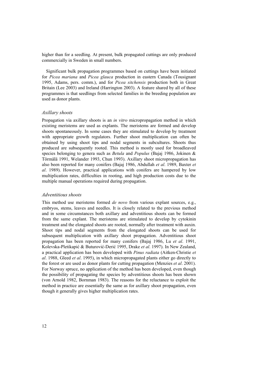higher than for a seedling. At present, bulk propagated cuttings are only produced commercially in Sweden in small numbers.

Significant bulk propagation programmes based on cuttings have been initiated for *Picea mariana* and *Picea glauca* production in eastern Canada (Tousignant 1995, Adams, pers. comm.), and for *Picea sitchensis* production both in Great Britain (Lee 2003) and Ireland (Harrington 2003). A feature shared by all of these programmes is that seedlings from selected families in the breeding population are used as donor plants.

#### *Axillary shoots*

Propagation via axillary shoots is an *in vitro* micropropagation method in which existing meristems are used as explants. The meristems are formed and develop shoots spontaneously. In some cases they are stimulated to develop by treatment with appropriate growth regulators. Further shoot multiplication can often be obtained by using shoot tips and nodal segments in subcultures. Shoots thus produced are subsequently rooted. This method is mostly used for broadleaved species belonging to genera such as *Betula* and *Populus* (Bajaj 1986, Jokinen & Törmälä 1991, Welander 1993, Chun 1993). Axillary shoot micropropagation has also been reported for many conifers (Bajaj 1986, Abdullah *et al*. 1989, Baxter *et al*. 1989). However, practical applications with conifers are hampered by low multiplication rates, difficulties in rooting, and high production costs due to the multiple manual operations required during propagation.

#### *Adventitious shoots*

This method use meristems formed *de novo* from various explant sources, e.g., embryos, stems, leaves and needles. It is closely related to the previous method and in some circumstances both axillary and adventitious shoots can be formed from the same explant. The meristems are stimulated to develop by cytokinin treatment and the elongated shoots are rooted, normally after treatment with auxin. Shoot tips and nodal segments from the elongated shoots can be used for subsequent multiplication with axillary shoot propagation. Adventitious shoot propagation has been reported for many conifers (Bajaj 1986, Lu *et al*. 1991, Kolevska-Pletikapić & Buturović-Derić 1995, Drake *et al*. 1997). In New Zealand, a practical application has been developed with *Pinus radiata* (Aitken-Christie *et al*. 1988, Gleed *et al*. 1995), in which micropropagated plants either go directly to the forest or are used as donor plants for cutting propagation (Menzies *et al*. 2001). For Norway spruce, no application of the method has been developed, even though the possibility of propagating the species by adventitious shoots has been shown (von Arnold 1982, Bornman 1983). The reasons for the reluctance to exploit the method in practice are essentially the same as for axillary shoot propagation, even though it generally gives higher multiplication rates.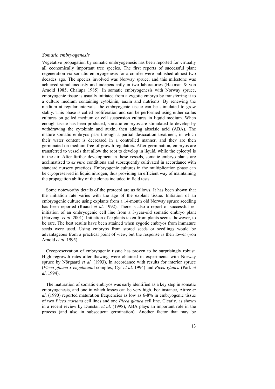#### *Somatic embryogenesis*

Vegetative propagation by somatic embryogenesis has been reported for virtually all economically important tree species. The first reports of successful plant regeneration via somatic embryogenesis for a conifer were published almost two decades ago. The species involved was Norway spruce, and this milestone was achieved simultaneously and independently in two laboratories (Hakman & von Arnold 1985, Chalupa 1985). In somatic embryogenesis with Norway spruce, embryogenic tissue is usually initiated from a zygotic embryo by transferring it to a culture medium containing cytokinin, auxin and nutrients. By renewing the medium at regular intervals, the embryogenic tissue can be stimulated to grow stably. This phase is called proliferation and can be performed using either callus cultures on gelled medium or cell suspension cultures in liquid medium. When enough tissue has been produced, somatic embryos are stimulated to develop by withdrawing the cytokinin and auxin, then adding abscisic acid (ABA). The mature somatic embryos pass through a partial desiccation treatment, in which their water content is decreased in a controlled manner, and they are then germinated on medium free of growth regulators. After germination, embryos are transferred to vessels that allow the root to develop in liquid, while the epicotyl is in the air. After further development in these vessels, somatic embryo plants are acclimatised to *ex vitro* conditions and subsequently cultivated in accordance with standard nursery practices. Embryogenic cultures in the multiplication phase can be cryopreserved in liquid nitrogen, thus providing an efficient way of maintaining the propagation ability of the clones included in field tests.

Some noteworthy details of the protocol are as follows. It has been shown that the initiation rate varies with the age of the explant tissue. Initiation of an embryogenic culture using explants from a 14-month old Norway spruce seedling has been reported (Ruaud *et al*. 1992). There is also a report of successful reinitiation of an embryogenic cell line from a 3-year-old somatic embryo plant (Harvengt *et al*. 2001). Initiation of explants taken from plants seems, however, to be rare. The best results have been attained when zygotic embryos from immature seeds were used. Using embryos from stored seeds or seedlings would be advantageous from a practical point of view, but the response is then lower (von Arnold *et al*. 1995).

Cryopreservation of embryogenic tissue has proven to be surprisingly robust. High regrowth rates after thawing were obtained in experiments with Norway spruce by Nörgaard *et al*. (1993), in accordance with results for interior spruce (*Picea glauca x engelmanni* complex; Cyr *et al*. 1994) and *Picea glauca* (Park *et al*. 1994).

The maturation of somatic embryos was early identified as a key step in somatic embryogenesis, and one in which losses can be very high. For instance, Attree *et al*. (1990) reported maturation frequencies as low as 6-8% in embryogenic tissue of two *Picea mariana* cell lines and one *Picea glauca* cell line. Clearly, as shown in a recent review by Dunstan *et al*. (1998), ABA plays an important role in the process (and also in subsequent germination). Another factor that may be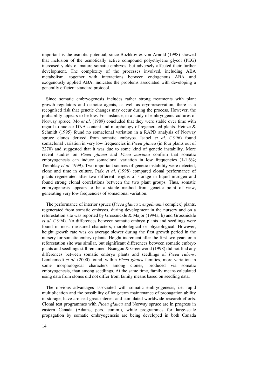important is the osmotic potential, since Bozhkov  $\&$  von Arnold (1998) showed that inclusion of the osmotically active compound polyethylene glycol (PEG) increased yields of mature somatic embryos, but adversely affected their further development. The complexity of the processes involved, including ABA metabolism, together with interactions between endogenous ABA and exogenously applied ABA, indicates the problems associated with developing a generally efficient standard protocol.

Since somatic embryogenesis includes rather strong treatments with plant growth regulators and osmotic agents, as well as cryopreservation, there is a recognised risk that genetic changes may occur during the process. However, the probability appears to be low. For instance, in a study of embryogenic cultures of Norway spruce, Mo *et al*. (1989) concluded that they were stable over time with regard to nuclear DNA content and morphology of regenerated plants. Heinze & Schmidt (1995) found no somaclonal variation in a RAPD analysis of Norway spruce clones derived from somatic embryos. Isabel *et al*. (1996) found somaclonal variation in very low frequencies in *Picea glauca* (in four plants out of 2270) and suggested that it was due to some kind of genetic instability. More recent studies on *Picea glauca* and *Picea mariana* confirm that somatic embryogenesis can induce somaclonal variation in low frequencies  $(1-1.6\%$ ; Tremblay *et al*. 1999). Two important sources of genetic instability were detected, clone and time in culture. Park *et al*. (1998) compared clonal performance of plants regenerated after two different lengths of storage in liquid nitrogen and found strong clonal correlations between the two plant groups. Thus, somatic embryogenesis appears to be a stable method from genetic point of view, generating very low frequencies of somaclonal variation.

The performance of interior spruce (*Picea glauca x engelmanni* complex) plants, regenerated from somatic embryos, during development in the nursery and on a reforestation site was reported by Grossnickle & Major (1994a, b) and Grossnickle *et al*. (1994). No differences between somatic embryo plants and seedlings were found in most measured characters, morphological or physiological. However, height growth rate was on average slower during the first growth period in the nursery for somatic embryo plants. Height increment after the first two years on a reforestation site was similar, but significant differences between somatic embryo plants and seedlings still remained. Nsangou & Greenwood (1998) did not find any differences between somatic embryo plants and seedlings of *Picea rubens*. Lamhamedi *et al*. (2000) found, within *Picea glauca* families, more variation in some morphological characters among clones, produced via somatic embryogenesis, than among seedlings. At the same time, family means calculated using data from clones did not differ from family means based on seedling data.

The obvious advantages associated with somatic embryogenesis, i.e. rapid multiplication and the possibility of long-term maintenance of propagation ability in storage, have aroused great interest and stimulated worldwide research efforts. Clonal test programmes with *Picea glauca* and Norway spruce are in progress in eastern Canada (Adams, pers. comm.), while programmes for large-scale propagation by somatic embryogenesis are being developed in both Canada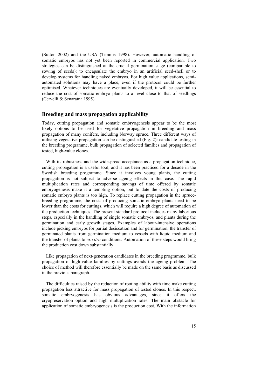(Sutton 2002) and the USA (Timmis 1998). However, automatic handling of somatic embryos has not yet been reported in commercial application. Two strategies can be distinguished at the crucial germination stage (comparable to sowing of seeds): to encapsulate the embryo in an artificial seed-shell or to develop systems for handling naked embryos. For high value applications, semiautomated solutions may have a place, even if the protocol could be further optimised. Whatever techniques are eventually developed, it will be essential to reduce the cost of somatic embryo plants to a level close to that of seedlings (Cervelli & Senaratna 1995).

### **Breeding and mass propagation applicability**

Today, cutting propagation and somatic embryogenesis appear to be the most likely options to be used for vegetative propagation in breeding and mass propagation of many conifers, including Norway spruce. Three different ways of utilising vegetative propagation can be distinguished (Fig. 2): candidate testing in the breeding programme, bulk propagation of selected families and propagation of tested, high-value clones.

With its robustness and the widespread acceptance as a propagation technique, cutting propagation is a useful tool, and it has been practiced for a decade in the Swedish breeding programme. Since it involves young plants, the cutting propagation is not subject to adverse ageing effects in this case. The rapid multiplication rates and corresponding savings of time offered by somatic embryogenesis make it a tempting option, but to date the costs of producing somatic embryo plants is too high. To replace cutting propagation in the sprucebreeding programme, the costs of producing somatic embryo plants need to be lower than the costs for cuttings, which will require a high degree of automation of the production techniques. The present standard protocol includes many laborious steps, especially in the handling of single somatic embryos, and plants during the germination and early growth stages. Examples of labour-intensive operations include picking embryos for partial desiccation and for germination, the transfer of germinated plants from germination medium to vessels with liquid medium and the transfer of plants to *ex vitro* conditions. Automation of these steps would bring the production cost down substantially.

Like propagation of next-generation candidates in the breeding programme, bulk propagation of high-value families by cuttings avoids the ageing problem. The choice of method will therefore essentially be made on the same basis as discussed in the previous paragraph.

The difficulties raised by the reduction of rooting ability with time make cutting propagation less attractive for mass propagation of tested clones. In this respect, somatic embryogenesis has obvious advantages, since it offers the cryopreservation option and high multiplication rates. The main obstacle for application of somatic embryogenesis is the production cost. With the information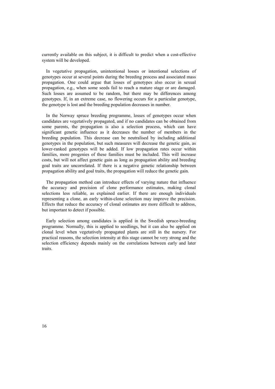currently available on this subject, it is difficult to predict when a cost-effective system will be developed.

In vegetative propagation, unintentional losses or intentional selections of genotypes occur at several points during the breeding process and associated mass propagation. One could argue that losses of genotypes also occur in sexual propagation, e.g., when some seeds fail to reach a mature stage or are damaged. Such losses are assumed to be random, but there may be differences among genotypes. If, in an extreme case, no flowering occurs for a particular genotype, the genotype is lost and the breeding population decreases in number.

In the Norway spruce breeding programme, losses of genotypes occur when candidates are vegetatively propagated, and if no candidates can be obtained from some parents, the propagation is also a selection process, which can have significant genetic influence as it decreases the number of members in the breeding population. This decrease can be neutralised by including additional genotypes in the population, but such measures will decrease the genetic gain, as lower-ranked genotypes will be added. If low propagation rates occur within families, more progenies of these families must be included. This will increase costs, but will not affect genetic gain as long as propagation ability and breeding goal traits are uncorrelated. If there is a negative genetic relationship between propagation ability and goal traits, the propagation will reduce the genetic gain.

The propagation method can introduce effects of varying nature that influence the accuracy and precision of clone performance estimates, making clonal selections less reliable, as explained earlier. If there are enough individuals representing a clone, an early within-clone selection may improve the precision. Effects that reduce the accuracy of clonal estimates are more difficult to address, but important to detect if possible.

Early selection among candidates is applied in the Swedish spruce-breeding programme. Normally, this is applied to seedlings, but it can also be applied on clonal level when vegetatively propagated plants are still in the nursery. For practical reasons, the selection intensity at this stage cannot be very strong and the selection efficiency depends mainly on the correlations between early and later traits.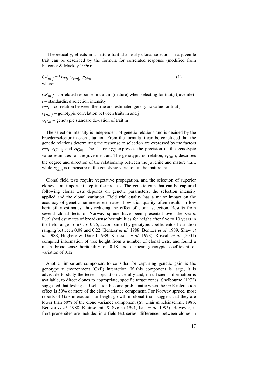Theoretically, effects in a mature trait after early clonal selection in a juvenile trait can be described by the formula for correlated response (modified from Falconer & Mackay 1996):

 $CR_{m|j} = i \, r_{Tlj} \, r_{Gm|j} \, \sigma_{Gm}$  (1) where:

 $CR_{m|j}$  =correlated response in trait m (mature) when selecting for trait j (juvenile)  $i =$  standardised selection intensity  $r_{TI}$  = correlation between the true and estimated genotypic value for trait j  $r_{Gm|j}$  = genotypic correlation between traits m and j  $\sigma_{Gm}$  = genotypic standard deviation of trait m

The selection intensity is independent of genetic relations and is decided by the breeder/selector in each situation. From the formula it can be concluded that the genetic relations determining the response to selection are expressed by the factors *rTIj, r<sub>Gm|j</sub>* and  $\sigma_{Gm}$ . The factor r<sub>*TIj*</sub> expresses the precision of the genotypic value estimates for the juvenile trait. The genotypic correlation, *rGm|j*, describes the degree and direction of the relationship between the juvenile and mature trait, while  $\sigma_{Gm}$  is a measure of the genotypic variation in the mature trait.

Clonal field tests require vegetative propagation, and the selection of superior clones is an important step in the process. The genetic gain that can be captured following clonal tests depends on genetic parameters, the selection intensity applied and the clonal variation. Field trial quality has a major impact on the accuracy of genetic parameter estimates. Low trial quality often results in low heritability estimates, thus reducing the effect of clonal selection. Results from several clonal tests of Norway spruce have been presented over the years. Published estimates of broad-sense heritabilities for height after five to 10 years in the field range from 0.16-0.25, accompanied by genotypic coefficients of variation ranging between 0.08 and 0.22 (Bentzer *et al*. 1988, Bentzer *et al*. 1989, Shaw *et al*. 1988, Högberg & Danell 1989, Karlsson *et al*. 1998). Rosvall *et al*. (2001) compiled information of tree height from a number of clonal tests, and found a mean broad-sense heritability of 0.18 and a mean genotypic coefficient of variation of 0.12.

Another important component to consider for capturing genetic gain is the genotype x environment (GxE) interaction. If this component is large, it is advisable to study the tested population carefully and, if sufficient information is available, to direct clones to appropriate, specific target zones. Shelbourne (1972) suggested that testing and selection become problematic when the GxE interaction effect is 50% or more of the clone variance component. For Norway spruce, most reports of GxE interaction for height growth in clonal trials suggest that they are lower than 50% of the clone variance component (St. Clair & Kleinschmit 1986, Bentzer *et al*. 1988, Kleinschmit & Svolba 1991, Isik *et al*. 1995). However, if frost-prone sites are included in a field test series, differences between clones in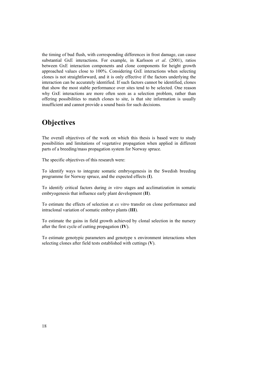the timing of bud flush, with corresponding differences in frost damage, can cause substantial GxE interactions. For example, in Karlsson *et al*. (2001), ratios between GxE interaction components and clone components for height growth approached values close to 100%. Considering GxE interactions when selecting clones is not straightforward, and it is only effective if the factors underlying the interaction can be accurately identified. If such factors cannot be identified, clones that show the most stable performance over sites tend to be selected. One reason why GxE interactions are more often seen as a selection problem, rather than offering possibilities to match clones to site, is that site information is usually insufficient and cannot provide a sound basis for such decisions.

# **Objectives**

The overall objectives of the work on which this thesis is based were to study possibilities and limitations of vegetative propagation when applied in different parts of a breeding/mass propagation system for Norway spruce.

The specific objectives of this research were:

To identify ways to integrate somatic embryogenesis in the Swedish breeding programme for Norway spruce, and the expected effects (**I**).

To identify critical factors during *in vitro* stages and acclimatization in somatic embryogenesis that influence early plant development (**II**).

To estimate the effects of selection at *ex vitro* transfer on clone performance and intraclonal variation of somatic embryo plants (**III**).

To estimate the gains in field growth achieved by clonal selection in the nursery after the first cycle of cutting propagation (**IV**).

To estimate genotypic parameters and genotype x environment interactions when selecting clones after field tests established with cuttings (**V**).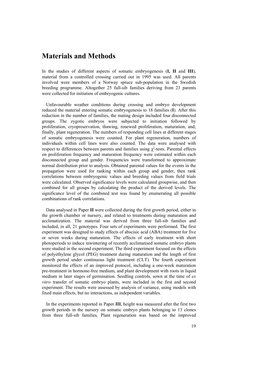### **Materials and Methods**

In the studies of different aspects of somatic embryogenesis (**I, II** and **III**), material from a controlled crossing carried out in 1995 was used. All parents involved were members of a Norway spruce sub-population in the Swedish breeding programme. Altogether 25 full-sib families deriving from 23 parents were collected for initiation of embryogenic cultures.

Unfavourable weather conditions during crossing and embryo development reduced the material entering somatic embryogenesis to 18 families (**I**). After this reduction in the number of families, the mating design included four disconnected groups. The zygotic embryos were subjected to initiation followed by proliferation, cryopreservation, thawing, renewed proliferation, maturation, and, finally, plant regeneration. The numbers of responding cell lines at different stages of somatic embryogenesis were counted. For plant regeneration, numbers of individuals within cell lines were also counted. The data were analysed with respect to differences between parents and families using  $\chi^2$ -tests. Parental effects on proliferation frequency and maturation frequency were estimated within each disconnected group and gender. Frequencies were transformed to approximate normal distribution prior to analysis. Obtained parental values for the events in the propagation were used for ranking within each group and gender, then rank correlations between embryogenic values and breeding values from field trials were calculated. Observed significance levels were calculated groupwise, and then combined for all groups by calculating the product of the derived levels. The significance level of the combined test was found by enumerating all possible combinations of rank correlations.

Data analysed in Paper **II** were collected during the first growth period, either in the growth chamber or nursery, and related to treatments during maturation and acclimatization. The material was derived from three full-sib families and included, in all, 21 genotypes. Four sets of experiments were performed. The first experiment was designed to study effects of abscisic acid (ABA) treatment for five or seven weeks during maturation. The effects of early treatment with short photoperiods to induce inwintering of recently acclimatised somatic embryo plants were studied in the second experiment. The third experiment focused on the effects of polyethylene glycol (PEG) treatment during maturation and the length of first growth period under continuous light treatment (CLT). The fourth experiment monitored the effects of an improved protocol, including a one-week maturation pre-treatment in hormone-free medium, and plant development with roots in liquid medium in later stages of germination. Seedling controls, sown at the time of *ex vitro* transfer of somatic embryo plants, were included in the first and second experiment. The results were assessed by analysis of variance, using models with fixed main effects, but no interactions, as independent variables.

In the experiments reported in Paper **III**, height was measured after the first two growth periods in the nursery on somatic embryo plants belonging to 13 clones from three full-sib families. Plant regeneration was based on the improved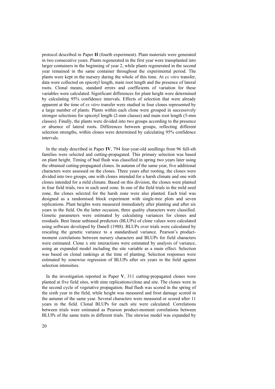protocol described in Paper **II** (fourth experiment). Plant materials were generated in two consecutive years. Plants regenerated in the first year were transplanted into larger containers in the beginning of year 2, while plants regenerated in the second year remained in the same container throughout the experimental period. The plants were kept in the nursery during the whole of this time. At *ex vitro* transfer, data were collected on epicotyl length, main root length and the presence of lateral roots. Clonal means, standard errors and coefficients of variation for these variables were calculated. Significant differences for plant height were determined by calculating 95% confidence intervals. Effects of selection that were already apparent at the time of *ex vitro* transfer were studied in four clones represented by a large number of plants. Plants within each clone were grouped in successively stronger selections for epicotyl length (2-mm classes) and main root length (5-mm classes). Finally, the plants were divided into two groups according to the presence or absence of lateral roots. Differences between groups, reflecting different selection strengths, within clones were determined by calculating 95% confidence intervals.

In the study described in Paper **IV**, 794 four-year-old seedlings from 96 full-sib families were selected and cutting-propagated. This primary selection was based on plant height. Timing of bud flush was classified in spring two years later using the obtained cutting-propagated clones. In autumn of the same year, five additional characters were assessed on the clones. Three years after rooting, the clones were divided into two groups, one with clones intended for a harsh climate and one with clones intended for a mild climate. Based on this division, the clones were planted in four field trials, two in each seed zone. In one of the field trials in the mild seed zone, the clones selected for the harsh zone were also planted. Each trial was designed as a randomised block experiment with single-tree plots and seven replications. Plant heights were measured immediately after planting and after six years in the field. On the latter occasion, three quality characters were classified. Genetic parameters were estimated by calculating variances for clones and residuals. Best linear unbiased predictors (BLUPs) of clone values were calculated using software developed by Danell (1988). BLUPs over trials were calculated by rescaling the genetic variance to a standardised variance. Pearson's productmoment correlations between nursery characters and BLUPs for field characters were estimated. Clone x site interactions were estimated by analysis of variance, using an expanded model including the site variable as a main effect. Selection was based on clonal rankings at the time of planting. Selection responses were estimated by zonewise regression of BLUPs after six years in the field against selection intensities.

In the investigation reported in Paper **V**, 311 cutting-propagated clones were planted at five field sites, with nine replications/clone and site. The clones were in the second cycle of vegetative propagation. Bud flush was scored in the spring of the sixth year in the field, while height was measured and frost damage scored in the autumn of the same year. Several characters were measured or scored after 11 years in the field. Clonal BLUPs for each site were calculated. Correlations between trials were estimated as Pearson product-moment correlations between BLUPs of the same traits in different trials. The sitewise model was expanded by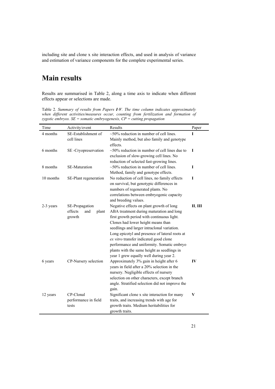including site and clone x site interaction effects, and used in analysis of variance and estimation of variance components for the complete experimental series.

# **Main results**

Results are summarised in Table 2, along a time axis to indicate when different effects appear or selections are made.

Table 2. *Summary of results from Papers I-V. The time column indicates approximately when different activities/measures occur, counting from fertilization and formation of zygotic embryos. SE = somatic embryogenesis, CP = cutting propagation*

| 4 months<br>SE-Establishment of<br>$\sim$ 50% reduction in number of cell lines.<br>I<br>cell lines<br>Mainly method, but also family and genotype<br>effects.<br>6 months<br>$\sim$ 50% reduction in number of cell lines due to<br>I<br>SE-Cryopreservation<br>exclusion of slow-growing cell lines. No<br>reduction of selected fast-growing lines.<br>8 months<br>$\sim$ 50% reduction in number of cell lines.<br><b>SE-Maturation</b><br>I |
|--------------------------------------------------------------------------------------------------------------------------------------------------------------------------------------------------------------------------------------------------------------------------------------------------------------------------------------------------------------------------------------------------------------------------------------------------|
|                                                                                                                                                                                                                                                                                                                                                                                                                                                  |
|                                                                                                                                                                                                                                                                                                                                                                                                                                                  |
|                                                                                                                                                                                                                                                                                                                                                                                                                                                  |
|                                                                                                                                                                                                                                                                                                                                                                                                                                                  |
|                                                                                                                                                                                                                                                                                                                                                                                                                                                  |
|                                                                                                                                                                                                                                                                                                                                                                                                                                                  |
|                                                                                                                                                                                                                                                                                                                                                                                                                                                  |
| Method, family and genotype effects.                                                                                                                                                                                                                                                                                                                                                                                                             |
| No reduction of cell lines, no family effects<br>10 months<br>SE-Plant regeneration<br>I                                                                                                                                                                                                                                                                                                                                                         |
| on survival, but genotypic differences in                                                                                                                                                                                                                                                                                                                                                                                                        |
| numbers of regenerated plants. No                                                                                                                                                                                                                                                                                                                                                                                                                |
| correlations between embryogenic capacity                                                                                                                                                                                                                                                                                                                                                                                                        |
| and breeding values.                                                                                                                                                                                                                                                                                                                                                                                                                             |
| SE-Propagation<br>Negative effects on plant growth of long<br>Н, Ш<br>2-3 years                                                                                                                                                                                                                                                                                                                                                                  |
| effects<br>ABA treatment during maturation and long<br>and<br>plant                                                                                                                                                                                                                                                                                                                                                                              |
| first growth period with continuous light.<br>growth                                                                                                                                                                                                                                                                                                                                                                                             |
| Clones had lower height means than                                                                                                                                                                                                                                                                                                                                                                                                               |
| seedlings and larger intraclonal variation.                                                                                                                                                                                                                                                                                                                                                                                                      |
| Long epicotyl and presence of lateral roots at                                                                                                                                                                                                                                                                                                                                                                                                   |
| ex vitro transfer indicated good clone                                                                                                                                                                                                                                                                                                                                                                                                           |
| performance and uniformity. Somatic embryo                                                                                                                                                                                                                                                                                                                                                                                                       |
| plants with the same height as seedlings in                                                                                                                                                                                                                                                                                                                                                                                                      |
| year 1 grew equally well during year 2.                                                                                                                                                                                                                                                                                                                                                                                                          |
| CP-Nursery selection<br>Approximately 3% gain in height after 6<br>IV<br>6 years                                                                                                                                                                                                                                                                                                                                                                 |
| years in field after a 20% selection in the                                                                                                                                                                                                                                                                                                                                                                                                      |
| nursery. Negligible effects of nursery                                                                                                                                                                                                                                                                                                                                                                                                           |
| selection on other characters, except branch<br>angle. Stratified selection did not improve the                                                                                                                                                                                                                                                                                                                                                  |
| gain.                                                                                                                                                                                                                                                                                                                                                                                                                                            |
| CP-Clonal<br>Significant clone x site interaction for many<br>V<br>12 years                                                                                                                                                                                                                                                                                                                                                                      |
| performance in field<br>traits, and increasing trends with age for                                                                                                                                                                                                                                                                                                                                                                               |
| growth traits. Medium heritabilities for<br>tests                                                                                                                                                                                                                                                                                                                                                                                                |
| growth traits.                                                                                                                                                                                                                                                                                                                                                                                                                                   |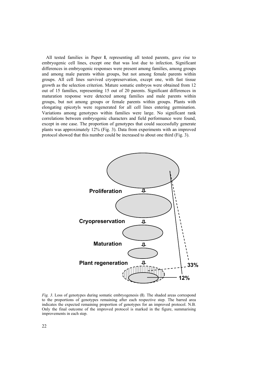All tested families in Paper **I**, representing all tested parents, gave rise to embryogenic cell lines, except one that was lost due to infection. Significant differences in embryogenic responses were present among families, among groups and among male parents within groups, but not among female parents within groups. All cell lines survived cryopreservation, except one, with fast tissue growth as the selection criterion. Mature somatic embryos were obtained from 12 out of 15 families, representing 15 out of 20 parents. Significant differences in maturation response were detected among families and male parents within groups, but not among groups or female parents within groups. Plants with elongating epicotyls were regenerated for all cell lines entering germination. Variations among genotypes within families were large. No significant rank correlations between embryogenic characters and field performance were found, except in one case. The proportion of genotypes that could successfully generate plants was approximately 12% (Fig. 3). Data from experiments with an improved protocol showed that this number could be increased to about one third (Fig. 3).



*Fig. 3*. Loss of genotypes during somatic embryogenesis (**I**). The shaded areas correspond to the proportions of genotypes remaining after each respective step. The barred area indicates the expected remaining proportion of genotypes for an improved protocol. N.B. Only the final outcome of the improved protocol is marked in the figure, summarising improvements in each step.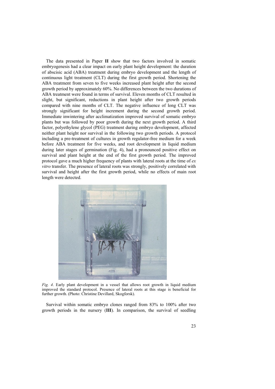The data presented in Paper **II** show that two factors involved in somatic embryogenesis had a clear impact on early plant height development: the duration of abscisic acid (ABA) treatment during embryo development and the length of continuous light treatment (CLT) during the first growth period. Shortening the ABA treatment from seven to five weeks increased plant height after the second growth period by approximately 60%. No differences between the two durations of ABA treatment were found in terms of survival. Eleven months of CLT resulted in slight, but significant, reductions in plant height after two growth periods compared with nine months of CLT. The negative influence of long CLT was strongly significant for height increment during the second growth period. Immediate inwintering after acclimatization improved survival of somatic embryo plants but was followed by poor growth during the next growth period. A third factor, polyethylene glycol (PEG) treatment during embryo development, affected neither plant height nor survival in the following two growth periods. A protocol including a pre-treatment of cultures in growth regulator-free medium for a week before ABA treatment for five weeks, and root development in liquid medium during later stages of germination (Fig. 4), had a pronounced positive effect on survival and plant height at the end of the first growth period. The improved protocol gave a much higher frequency of plants with lateral roots at the time of *ex vitro* transfer. The presence of lateral roots was strongly, positively correlated with survival and height after the first growth period, while no effects of main root length were detected.



*Fig. 4*. Early plant development in a vessel that allows root growth in liquid medium improved the standard protocol. Presence of lateral roots at this stage is beneficial for further growth. (Photo: Christine Devillard, Skogforsk).

Survival within somatic embryo clones ranged from 83% to 100% after two growth periods in the nursery (**III**). In comparison, the survival of seedling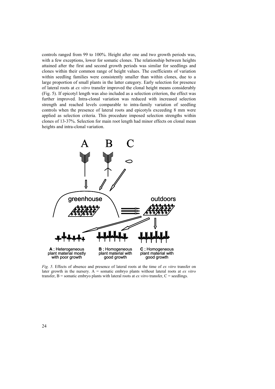controls ranged from 99 to 100%. Height after one and two growth periods was, with a few exceptions, lower for somatic clones. The relationship between heights attained after the first and second growth periods was similar for seedlings and clones within their common range of height values. The coefficients of variation within seedling families were consistently smaller than within clones, due to a large proportion of small plants in the latter category. Early selection for presence of lateral roots at *ex vitro* transfer improved the clonal height means considerably (Fig. 5). If epicotyl length was also included as a selection criterion, the effect was further improved. Intra-clonal variation was reduced with increased selection strength and reached levels comparable to intra-family variation of seedling controls when the presence of lateral roots and epicotyls exceeding 8 mm were applied as selection criteria. This procedure imposed selection strengths within clones of 13-37%. Selection for main root length had minor effects on clonal mean heights and intra-clonal variation.



. Effects of absence and presence of lateral roots at the time of *ex vitro* transfer on *Fig. 5* later growth in the nursery. A = somatic embryo plants without lateral roots at *ex vitro* transfer, B = somatic embryo plants with lateral roots at *ex vitro* transfer, C = seedlings.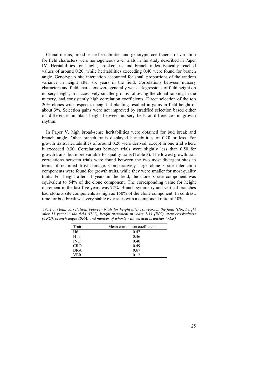Clonal means, broad-sense heritabilities and genotypic coefficients of variation for field characters were homogeneous over trials in the study described in Paper **IV**. Heritabilities for height, crookedness and branch index typically reached values of around 0.20, while heritabilities exceeding 0.40 were found for branch angle. Genotype x site interaction accounted for small proportions of the random variance in height after six years in the field. Correlations between nursery characters and field characters were generally weak. Regressions of field height on nursery height, in successively smaller groups following the clonal ranking in the nursery, had consistently high correlation coefficients. Direct selection of the top 20% clones with respect to height at planting resulted in gains in field height of about 3%. Selection gains were not improved by stratified selection based either on differences in plant height between nursery beds or differences in growth rhythm.

In Paper **V**, high broad-sense heritabilities were obtained for bud break and branch angle. Other branch traits displayed heritabilities of 0.20 or less. For growth traits, heritabilities of around 0.20 were derived, except in one trial where it exceeded 0.30. Correlations between trials were slightly less than 0.50 for growth traits, but more variable for quality traits (Table 3). The lowest growth trait correlations between trials were found between the two most divergent sites in terms of recorded frost damage. Comparatively large clone x site interaction components were found for growth traits, while they were smaller for most quality traits. For height after 11 years in the field, the clone x site component was equivalent to 54% of the clone component. The corresponding value for height increment in the last five years was 77%. Branch symmetry and vertical branches had clone x site components as high as  $150\%$  of the clone component. In contrast, time for bud break was very stable over sites with a component ratio of 10%.

| Trait           | Mean correlation coefficient |
|-----------------|------------------------------|
| H6              | 0.47                         |
| H <sub>11</sub> | 0.46                         |
| <b>INC</b>      | 0.40                         |
| <b>CRO</b>      | 0.49                         |
| <b>BRA</b>      | 0.67                         |
| VER             | 0.12                         |

Table 3. *Mean correlations between trials for height after six years in the field (H6), height after 11 years in the field (H11), height increment in years 7-11 (INC), stem crookedness (CRO), branch angle (BRA) and number of whorls with vertical branches (VER)*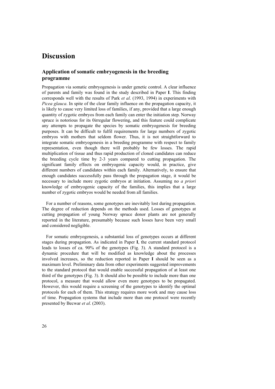### **Discussion**

### **Application of somatic embryogenesis in the breeding programme**

Propagation via somatic embryogenesis is under genetic control. A clear influence of parents and family was found in the study described in Paper **I**. This finding corresponds well with the results of Park *et al*. (1993, 1994) in experiments with *Picea glauca*. In spite of the clear family influence on the propagation capacity, it is likely to cause very limited loss of families, if any, provided that a large enough quantity of zygotic embryos from each family can enter the initiation step. Norway spruce is notorious for its 0irregular flowering, and this feature could complicate any attempts to propagate the species by somatic embryogenesis for breeding purposes. It can be difficult to fulfil requirements for large numbers of zygotic embryos with mothers that seldom flower. Thus, it is not straightforward to integrate somatic embryogenesis in a breeding programme with respect to family representation, even though there will probably be few losses. The rapid multiplication of tissue and thus rapid production of cloned candidates can reduce the breeding cycle time by 2-3 years compared to cutting propagation. The significant family effects on embryogenic capacity would, in practice, give different numbers of candidates within each family. Alternatively, to ensure that enough candidates successfully pass through the propagation stage, it would be necessary to include more zygotic embryos at initiation. Assuming no *a priori* knowledge of embryogenic capacity of the families, this implies that a large number of zygotic embryos would be needed from all families.

For a number of reasons, some genotypes are inevitably lost during propagation. The degree of reduction depends on the methods used. Losses of genotypes at cutting propagation of young Norway spruce donor plants are not generally reported in the literature, presumably because such losses have been very small and considered negligible.

For somatic embryogenesis, a substantial loss of genotypes occurs at different stages during propagation. As indicated in Paper **I**, the current standard protocol leads to losses of ca. 90% of the genotypes (Fig. 3). A standard protocol is a dynamic procedure that will be modified as knowledge about the processes involved increases, so the reduction reported in Paper **I** should be seen as a maximum level. Preliminary data from other experiments suggested improvements to the standard protocol that would enable successful propagation of at least one third of the genotypes (Fig. 3). It should also be possible to include more than one protocol, a measure that would allow even more genotypes to be propagated. However, this would require a screening of the genotypes to identify the optimal protocols for each of them. This strategy requires more work and may cause loss of time. Propagation systems that include more than one protocol were recently presented by Becwar *et al*. (2003).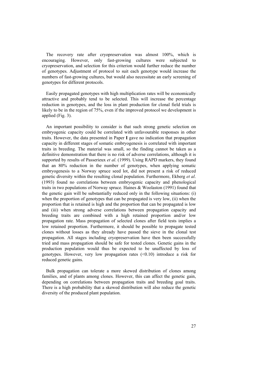The recovery rate after cryopreservation was almost 100%, which is encouraging. However, only fast-growing cultures were subjected to cryopreservation, and selection for this criterion would further reduce the number of genotypes. Adjustment of protocol to suit each genotype would increase the numbers of fast-growing cultures, but would also necessitate an early screening of genotypes for different protocols.

Easily propagated genotypes with high multiplication rates will be economically attractive and probably tend to be selected. This will increase the percentage reduction in genotypes, and the loss in plant production for clonal field trials is likely to be in the region of 75%, even if the improved protocol we development is applied (Fig. 3).

An important possibility to consider is that such strong genetic selection on embryogenic capacity could be correlated with unfavourable responses in other traits. However, the data presented in Paper **I** gave no indication that propagation capacity in different stages of somatic embryogenesis is correlated with important traits in breeding. The material was small, so the finding cannot be taken as a definitive demonstration that there is no risk of adverse correlations, although it is supported by results of Passerieux *et al*. (1999). Using RAPD markers, they found that an 80% reduction in the number of genotypes, when applying somatic embryogenesis to a Norway spruce seed lot, did not present a risk of reduced genetic diversity within the resulting clonal population. Furthermore, Ekberg *et al*. (1993) found no correlations between embryogenic capacity and phenological traits in two populations of Norway spruce. Haines & Woolaston (1991) found that the genetic gain will be substantially reduced only in the following situations: (i) when the proportion of genotypes that can be propagated is very low, (ii) when the proportion that is retained is high and the proportion that can be propagated is low and (iii) when strong adverse correlations between propagation capacity and breeding traits are combined with a high retained proportion and/or low propagation rate. Mass propagation of selected clones after field tests implies a low retained proportion. Furthermore, it should be possible to propagate tested clones without losses as they already have passed the sieve in the clonal test propagation. All stages including cryopreservation have then been successfully tried and mass propagation should be safe for tested clones. Genetic gains in the production population would thus be expected to be unaffected by loss of genotypes. However, very low propagation rates  $(\leq 0.10)$  introduce a risk for reduced genetic gains.

Bulk propagation can tolerate a more skewed distribution of clones among families, and of plants among clones. However, this can affect the genetic gain, depending on correlations between propagation traits and breeding goal traits. There is a high probability that a skewed distribution will also reduce the genetic diversity of the produced plant population.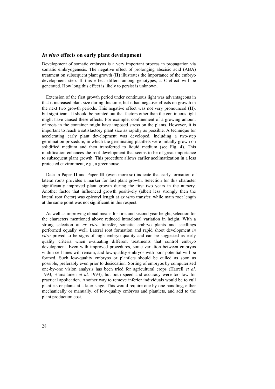### *In vitro* **effects on early plant development**

Development of somatic embryos is a very important process in propagation via somatic embryogenesis. The negative effect of prolonging abscisic acid (ABA) treatment on subsequent plant growth (**II**) illustrates the importance of the embryo development step. If this effect differs among genotypes, a C-effect will be generated. How long this effect is likely to persist is unknown.

Extension of the first growth period under continuous light was advantageous in that it increased plant size during this time, but it had negative effects on growth in the next two growth periods. This negative effect was not very pronounced (**II**), but significant. It should be pointed out that factors other than the continuous light might have caused these effects. For example, confinement of a growing amount of roots in the container might have imposed stress on the plants. However, it is important to reach a satisfactory plant size as rapidly as possible. A technique for accelerating early plant development was developed, including a two-step germination procedure, in which the germinating plantlets were initially grown on solidified medium and then transferred to liquid medium (see Fig. 4). This modification enhances the root development that seems to be of great importance to subsequent plant growth. This procedure allows earlier acclimatization in a less protected environment, e.g., a greenhouse.

Data in Paper **II** and Paper **III** (even more so) indicate that early formation of lateral roots provides a marker for fast plant growth. Selection for this character significantly improved plant growth during the first two years in the nursery. Another factor that influenced growth positively (albeit less strongly then the lateral root factor) was epicotyl length at *ex vitro* transfer, while main root length at the same point was not significant in this respect.

As well as improving clonal means for first and second year height, selection for the characters mentioned above reduced intraclonal variation in height. With a strong selection at *ex vitro* transfer, somatic embryo plants and seedlings performed equally well. Lateral root formation and rapid shoot development *in vitro* proved to be signs of high embryo quality and can be suggested as early quality criteria when evaluating different treatments that control embryo development. Even with improved procedures, some variation between embryos within cell lines will remain, and low-quality embryos with poor potential will be formed. Such low-quality embryos or plantlets should be culled as soon as possible, preferably even prior to desiccation. Sorting of embryos by computerised one-by-one vision analysis has been tried for agricultural crops (Harrell *et al*. 1993, Hämäläinen *et al*. 1993), but both speed and accuracy were too low for practical application. Another way to remove inferior individuals would be to cull plantlets or plants at a later stage. This would require one-by-one-handling, either mechanically or manually, of low-quality embryos and plantlets, and add to the plant production cost.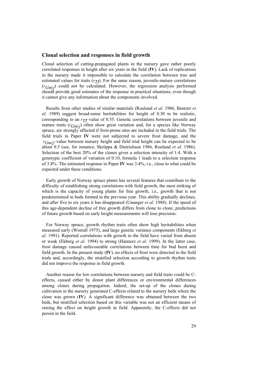#### **Clonal selection and responses in field growth**

Clonal selection of cutting-propagated plants in the nursery gave rather poorly correlated responses in height after six years in the field (**IV**). Lack of replications in the nursery made it impossible to calculate the correlation between true and estimated values for traits  $(r_T)$ . For the same reason, juvenile-mature correlations (*rGm|j*) could not be calculated. However, the regression analysis performed should provide good estimates of the response in practical situations, even though it cannot give any information about the components involved.

Results from other studies of similar materials (Roulund *et al*. 1986, Bentzer *et al*. 1989) suggest broad-sense heritabilities for height of 0.30 to be realistic, corresponding to an  $r_T$ -value of 0.55. Genetic correlations between juvenile and mature traits (*rGm|j*) often show great variation and, for a species like Norway spruce, are strongly affected if frost-prone sites are included in the field trials. The field trials in Paper **IV** were not subjected to severe frost damage, and the *r<sub>Gm|j</sub>*-value between nursery height and field trial height can be expected to be about 0.5 (see, for instance, Skröppa & Dietrichson 1986, Roulund *et al*. 1986). Selection of the best 20% of the clones gives a selection intensity of 1.4. With a genotypic coefficient of variation of 0.10, formula 1 leads to a selection response of 3.8%. The estimated response in Paper **IV** was 3.4%, i.e., close to what could be expected under these conditions.

Early growth of Norway spruce plants has several features that contribute to the difficulty of establishing strong correlations with field growth, the most striking of which is the capacity of young plants for free growth, i.e., growth that is not predetermined in buds formed in the previous year. This ability gradually declines, and after five to six years it has disappeared (Ununger *et al*. 1988). If the speed of this age-dependent decline of free growth differs from clone to clone, predictions of future growth based on early height measurements will lose precision.

For Norway spruce, growth rhythm traits often show high heritabilities when measured early (Worrall 1975), and large genetic variance components (Ekberg *et al*. 1991). Reported correlations with growth in the field have varied from absent or weak (Ekberg *et al*. 1994) to strong (Hannerz *et al*. 1999). In the latter case, frost damage caused unfavourable correlations between time for bud burst and field growth. In the present study (**IV**), no effects of frost were detected in the field trials and, accordingly, the stratified selection according to growth rhythm traits did not improve the response in field growth.

Another reason for low correlations between nursery and field traits could be Ceffects, caused either by donor plant differences or environmental differences among clones during propagation. Indeed, the set-up of the clones during cultivation in the nursery generated C-effects related to the nursery beds where the clone was grown (**IV**). A significant difference was obtained between the two beds, but stratified selection based on this variable was not an efficient means of raising the effect on height growth in field. Apparently, the C-effects did not persist in the field.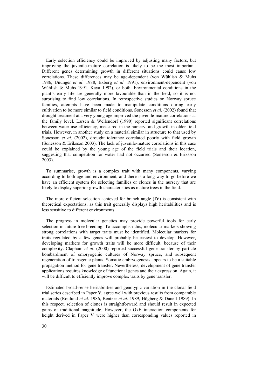Early selection efficiency could be improved by adjusting many factors, but improving the juvenile-mature correlation is likely to be the most important. Different genes determining growth in different situations could cause low correlations. These differences may be age-dependent (von Wühlish & Muhs 1986, Ununger *et al*. 1988, Ekberg *et al*. 1991), environment-dependent (von Wühlish & Muhs 1991, Kaya 1992), or both. Environmental conditions in the plant's early life are generally more favourable than in the field, so it is not surprising to find low correlations. In retrospective studies on Norway spruce families, attempts have been made to manipulate conditions during early cultivation to be more similar to field conditions. Sonesson *et al*. (2002) found that drought treatment at a very young age improved the juvenile-mature correlations at the family level. Larsen & Wellendorf (1990) reported significant correlations between water use efficiency, measured in the nursery, and growth in older field trials. However, in another study on a material similar in structure to that used by Sonesson *et al*. (2002), drought tolerance correlated poorly with field growth (Sonesson & Eriksson 2003). The lack of juvenile-mature correlations in this case could be explained by the young age of the field trials and their location, suggesting that competition for water had not occurred (Sonesson & Eriksson 2003).

To summarise, growth is a complex trait with many components, varying according to both age and environment, and there is a long way to go before we have an efficient system for selecting families or clones in the nursery that are likely to display superior growth characteristics as mature trees in the field.

The more efficient selection achieved for branch angle (**IV**) is consistent with theoretical expectations, as this trait generally displays high heritabilities and is less sensitive to different environments.

The progress in molecular genetics may provide powerful tools for early selection in future tree breeding. To accomplish this, molecular markers showing strong correlations with target traits must be identified. Molecular markers for traits regulated by a few genes will probably be easiest to develop. However, developing markers for growth traits will be more difficult, because of their complexity. Clapham *et al*. (2000) reported successful gene transfer by particle bombardment of embryogenic cultures of Norway spruce, and subsequent regeneration of transgenic plants. Somatic embryogenesis appears to be a suitable propagation method for gene transfer. Nevertheless, development of gene transfer applications requires knowledge of functional genes and their expression. Again, it will be difficult to efficiently improve complex traits by gene transfer.

Estimated broad-sense heritabilities and genotypic variation in the clonal field trial series described in Paper **V**, agree well with previous results from comparable materials (Roulund *et al*. 1986, Bentzer *et al*. 1989, Högberg & Danell 1989). In this respect, selection of clones is straightforward and should result in expected gains of traditional magnitude. However, the GxE interaction components for height derived in Paper **V** were higher than corresponding values reported in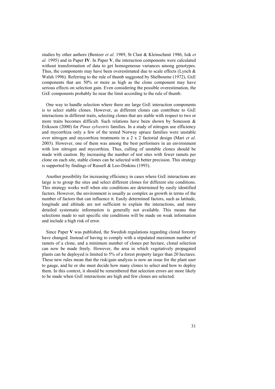studies by other authors (Bentzer *et al*. 1989, St Clair & Kleinschmit 1986, Isik *et al*. 1995) and in Paper **IV**. In Paper **V**, the interaction components were calculated without transformation of data to get homogeneous variances among genotypes. Thus, the components may have been overestimated due to scale effects (Lynch  $\&$ Walsh 1996). Referring to the rule of thumb suggested by Shelbourne (1972), GxE components that are 50% or more as high as the clone component may have serious effects on selection gain. Even considering the possible overestimation, the GxE components probably lie near the limit according to the rule of thumb.

One way to handle selection where there are large GxE interaction components is to select stable clones. However, as different clones can contribute to GxE interactions in different traits, selecting clones that are stable with respect to two or more traits becomes difficult. Such relations have been shown by Sonesson & Eriksson (2000) for *Pinus sylvestris* families. In a study of nitrogen use efficiency and mycorrhiza only a few of the tested Norway spruce families were unstable over nitrogen and mycorrhiza treatments in a 2 x 2 factorial design (Mari *et al*. 2003). However, one of them was among the best performers in an environment with low nitrogen and mycorrhiza. Thus, culling of unstable clones should be made with caution. By increasing the number of test sites with fewer ramets per clone on each site, stable clones can be selected with better precision. This strategy is supported by findings of Russell & Loo-Dinkins (1993).

Another possibility for increasing efficiency in cases where GxE interactions are large is to group the sites and select different clones for different site conditions. This strategy works well when site conditions are determined by easily identified factors. However, the environment is usually as complex as growth in terms of the number of factors that can influence it. Easily determined factors, such as latitude, longitude and altitude are not sufficient to explain the interactions, and more detailed systematic information is generally not available. This means that selections made to suit specific site conditions will be made on weak information and include a high risk of error.

Since Paper **V** was published, the Swedish regulations regarding clonal forestry have changed. Instead of having to comply with a stipulated maximum number of ramets of a clone, and a minimum number of clones per hectare, clonal selection can now be made freely. However, the area in which vegetatively propagated plants can be deployed is limited to 5% of a forest property larger than 20 hectares. These new rules mean that the risk/gain analysis is now an issue for the plant user to gauge, and he or she must decide how many clones to select and how to deploy them. In this context, it should be remembered that selection errors are more likely to be made when GxE interactions are high and few clones are selected.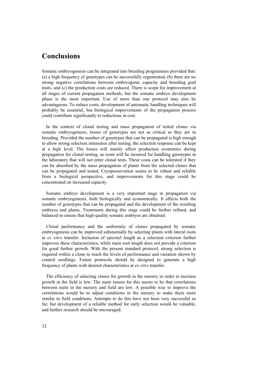# **Conclusions**

Somatic embryogenesis can be integrated into breeding programmes provided that: (a) a high frequency of genotypes can be successfully regenerated, (b) there are no strong negative correlations between embryogenic capacity and breeding goal traits, and (c) the production costs are reduced. There is scope for improvement at all stages of current propagation methods, but the somatic embryo development phase is the most important. Use of more than one protocol may also be advantageous. To reduce costs, development of automatic handling techniques will probably be essential, but biological improvements of the propagation process could contribute significantly to reductions in cost.

In the context of clonal testing and mass propagation of tested clones via somatic embryogenesis, losses of genotypes are not as critical as they are in breeding. Provided the number of genotypes that can be propagated is high enough to allow strong selection intensities after testing, the selection response can be kept at a high level. The losses will mainly affect production economics during propagation for clonal testing, as costs will be incurred for handling genotypes in the laboratory that will not enter clonal tests. These costs can be tolerated if they can be absorbed by the mass propagation of plants from the selected clones that can be propagated and tested. Cryopreservation seems to be robust and reliable from a biological perspective, and improvements for this stage could be concentrated on increased capacity.

Somatic embryo development is a very important stage in propagation via somatic embryogenesis, both biologically and economically. It affects both the number of genotypes that can be propagated and the development of the resulting embryos and plants. Treatments during this stage could be further refined, and balanced to ensure that high-quality somatic embryos are obtained.

Clonal performance and the uniformity of clones propagated by somatic embryogenesis can be improved substantially by selecting plants with lateral roots at *ex vitro* transfer. Inclusion of epicotyl length as a selection criterion further improves these characteristics, while main root length does not provide a criterion for good further growth. With the present standard protocol, strong selection is required within a clone to reach the levels of performance and variation shown by control seedlings. Future protocols should be designed to generate a high frequency of plants with desired characteristics at *ex vitro* transfer.

The efficiency of selecting clones for growth in the nursery in order to increase growth in the field is low. The main reason for this seems to be that correlations between traits in the nursery and field are low. A possible way to improve the correlations would be to adjust conditions in the nursery to make them more similar to field conditions. Attempts to do this have not been very successful so far, but development of a reliable method for early selection would be valuable, and further research should be encouraged.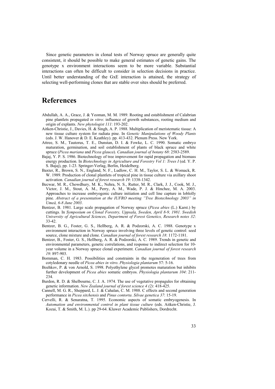Since genetic parameters in clonal tests of Norway spruce are generally quite consistent, it should be possible to make general estimates of genetic gains. The genotype x environment interactions seem to be more variable. Substantial interactions can often be difficult to consider in selection decisions in practice. Until better understanding of the GxE interaction is attained, the strategy of selecting well-performing clones that are stable over sites should be preferred.

### **References**

- Abdullah, A. A., Grace, J. & Yeoman, M. M. 1989. Rooting and establishment of Calabrian pine plantlets propagated *in vitro*: influence of growth substances, rooting medium and origin of explants. *New phytologist 111*: 193-202.
- Aitken-Christie, J., Davies, H. & Singh, A. P. 1988. Multiplication of meristematic tissue: A new tissue culture system for radiata pine. In *Genetic Manipulations of Woody Plants* (eds. J. W. Hanover & D. E. Keathley). pp. 413-432. Plenum Press. New York.
- Attree, S. M., Tautorus, T. E., Dunstan, D. I. & Fowke, L. C. 1990. Somatic embryo maturation, germination, and soil establishment of plants of black spruce and white spruce (*Picea mariana* and *Picea glauca*). *Canadian journal of botany 68*: 2583-2589.
- Bajaj, Y. P. S. 1986. Biotechnology of tree improvement for rapid propagation and biomass energy production. In *Biotechnology in Agriculture and Forestry Vol 1: Trees I* (ed. Y. P. S. Bajaj), pp. 1-23. Springer-Verlag, Berlin, Heidelberg.
- Baxter, R., Brown, S. N., England, N. F., Ludlow, C. H. M., Taylor, S. L. & Womack, R. W. 1989. Production of clonal plantlets of tropical pine in tissue culture via axillary shoot activation. *Canadian journal of forest research 19*: 1338-1342.
- Becwar, M. R., Chowdhury, M. K., Nehra, N. S., Rutter, M. R., Clark, J. J., Cook, M. J., Victor, J. M., Stout, A. M., Perry, A. M., Wade, P. J. & Hinchee, M. A. 2003. Approaches to increase embryogenic culture initiation and cell line capture in loblolly pine. *Abstract of a presentation at the IUFRO meeting "Tree Biotechnology 2003" in Umeå, 6-8 June 2003*.
- Bentzer, B. 1981. Large scale propagation of Norway spruce (*Picea abies* (L.) Karst.) by cuttings. In *Symposium on Clonal Forestry, Uppsala, Sweden, April 8-9, 1981. Swedish University of Agricultural Sciences, Department of Forest Genetics, Research notes 32*: 33-42.
- Bentzer, B. G., Foster, G. S., Hellberg, A. R. & Podzorski, A. C. 1988. Genotype x environment interaction in Norway spruce involving three levels of genetic control: seed source, clone mixture and clone. *Canadian journal of forest research 18*: 1172-1181.
- Bentzer, B., Foster, G. S., Hellberg, A. R. & Podzorski, A. C. 1989. Trends in genetic and environmental parameters, genetic correlations, and response to indirect selection for 10 year volume in a Norway spruce clonal experiment. *Canadian journal of forest research 19*: 897-903.
- Bornman, C. H. 1983. Possibilities and constraints in the regeneration of trees from cotyledonary needle of *Picea abies in vitro*. *Physiologia plantarum* 57: 5-16.
- Bozhkov, P. & von Arnold, S. 1998. Polyethylene glycol promotes maturation but inhibits further development of *Picea abies* somatic embryos. *Physiologia plantarum 104*: 211- 234.
- Burdon, R. D. & Shelbourne, C. J. A. 1974. The use of vegetative propagules for obtaining genetic information. *New Zealand journal of forest science 4 (2)*: 418-425.
- Cannell, M. G. R., Sheppard, L. J. & Cahalan, C. M. 1988. C effects and second generation performance in *Picea sitchensis* and *Pinus contorta*. *Silvae genetica 37*: 15-19.
- Cervelli, R. & Senaratna, T. 1995. Economic aspects of somatic embryogenesis. In *Automation and environmental control in plant tissue culture* (eds. Aitken-Christie, J. Kozai, T. & Smith, M. L.). pp 29-64. Kluwer Academic Publishers, Dordrecht.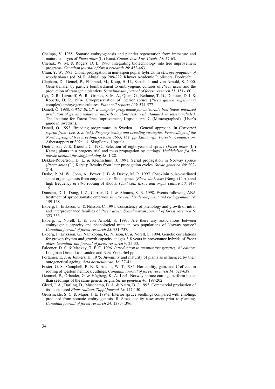Chalupa, V. 1985. Somatic embryogenesis and plantlet regeneration from immature and mature embryos of *Picea abies* (L.) Karst. *Comm. Inst. For. Czech. 14*: 57-63.

- Cheliak, W. M. & Rogers, D. L. 1990. Integrating biotechnology into tree improvement programs. *Canadian journal of forest research 20*: 452-463.
- Chun, Y. W. 1993. Clonal propagation in non-aspen poplar hybrids. In *Micropropagation of woody plants*. (ed. M. R. Ahuja). pp. 209-222. Kluwer Academic Publishers, Dordrecht.
- Clapham, D., Demel, P., Elfstrand, M., Koop, H.-U., Sabala, I. and von Arnold, S. 2000. Gene transfer by particle bombardment to embryogenic cultures of *Picea abies* and the production of transgenic plantlets. *Scandinavian journal of forest research 15*: 151-160.
- Cyr, D. R., Lazaroff, W. R., Grimes, S. M. A., Quan, G., Bethune, T. D., Dunstan, D. I. & Roberts, D. R. 1994. Cryopreservation of interior spruce (*Picea glauca engelmanni* complex) embryogenic cultures. *Plant cell reports 113*: 574-577.
- Danell, Ö. 1988. *OWST-BLUP, a computer programme for univariate best linear unbiased prediction of genetic values in half-sib or clone tests with standard varieties included*. The Institute for Forest Tree Improvement, Uppsala. pp. 7. (Mimeographed). (User's guide in Swedish).
- Danell, Ö. 1993. Breeding programmes in Sweden. 1. General approach. In *Corrected reprint from: Lee, S. J. (ed.). Progeny testing and breeding strategies, Proceedings of the Nordic group of tree breeding, October 1993, 184+pp. Edinburgh: Forestry Commission.* Arbetsrapport nr 302: 1-4. SkogForsk, Uppsala.
- Dietrichson, J. & Kierulf, C. 1982. Selection of eight-year-old spruce (*Picea abies* (L.) Karst.) plants in a progeny trial and mass propagation by cuttings. *Meddelelser fra det norske institutt for skogforskning 38*: 1-28.
- Dekker-Robertson, D. L. & Kleinschmit, J. 1991. Serial propagation in Norway spruce (*Picea abies* (L.) Karst.): Results from later propagation cycles. *Silvae genetica 40*: 202- 214.
- Drake, P. M. W., John, A., Power, J. B. & Davey, M. R. 1997. Cytokinin pulse-mediated shoot organogenesis from cotyledons of Sitka spruce (*Picea sitchensis* (Bong.) Carr.) and high frequency *in vitro* rooting of shoots. *Plant cell, tissue and organ culture 50*: 147- 151.
- Dunstan, D. I., Dong, J.-Z., Carrier, D. J. & Abrams, S. R. 1998. Events following ABA treatment of spruce somatic embryos. *In vitro cellular development and biology-plant 34*: 159-168.
- Ekberg, I., Eriksson, G. & Nilsson, C. 1991. Consistency of phenology and growth of intraand interprovenance families of *Picea abies*. *Scandinavian journal of forest research 6*: 323-333.
- Ekberg, I., Norell, L. & von Arnold, S. 1993. Are there any associations between embryogenic capacity and phenological traits in two populations of Norway spruce? *Canadian journal of forest research 23*: 731-737.
- Ekberg, I., Eriksson, G., Namkoong, G., Nilsson, C. & Norell, L. 1994. Genetic correlations for growth rhythm and growth capacity at ages 3-8 years in provenance hybrids of *Picea abies*. *Scandinavian journal of forest research 9*: 25-33.
- Falconer, D. S. & Mackay, T. F. C. 1996. *Introduction to quantitative genetics,* 4<sup>th</sup> edition. Longman Group Ltd. London and New York. 464 pp.
- Fortanier, E. J. & Jonkers, H. 1975. Juvenility and maturity of plants as influenced by their ontogenetical ageing. *Acta horticulturae. 56*: 37-41.
- Foster, G. S., Campbell, R. K. & Adams, W. T. 1984. Heritability, gain, and C-effects in rooting of western hemlock cuttings. *Canadian journal of forest research 14*: 628-638.
- Gemmel, P., Örlander, G. & Högberg, K.-A. 1991. Norway spruce cuttings perform better than seedlings of the same genetic origin. *Silvae genetica 40*: 198-202.
- Gleed, J. A., Darling, D., Muschamp, B. A. & Nairn, B. J. 1995. Commercial production of tissue cultured *Pinus radiata*. *Tappi journal 78*: 147-150.
- Grossnickle, S. C. & Major, J. E. 1994a. Interior spruce seedlings compared with emblings produced from somatic embryogenesis. II. Stock quality assessment prior to planting. *Canadian journal of forest research 24*: 1385-1396.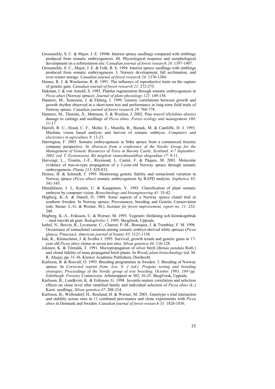- Grossnickle, S. C. & Major, J. E. 1994b. Interior spruce seedlings compared with emblings produced from somatic embryogenesis. III. Physiological response and morphological development on a reforestation site. *Canadian journal of forest research 24*: 1397-1407.
- Grossnickle, S. C., Major, J. E. & Folk, R. S. 1994. Interior spruce seedlings with emblings produced from somatic embryogenesis. I. Nursery development, fall acclimation, and over-winter storage. *Canadian journal of forest research 24*: 1376-1384.
- Haines, R. J. & Woolaston, R. R. 1991. The influence of reproductive traits on the capture of genetic gain. *Canadian journal of forest research 21*: 272-275.
- Hakman, I. & von Arnold, S. 1985. Plantlet regeneration through somatic embryogenesis in *Picea abies* (Norway spruce). *Journal of plant physiology 121*: 149-158.
- Hannerz, M., Sonesson, J. & Ekberg, I. 1999. Genetic correlations between growth and growth rhythm observed in a short-term test and performance in long-term field trials of Norway spruce. *Canadian journal of forest research 29*: 768-778.
- Hannerz, M., Thorsén, Å., Mattsson, S. & Weslien, J. 2002. Pine weevil (*Hylobius abietis*) damage to cuttings and seedlings of *Picea abies*. *Forest ecology and management 160*: 11-17.
- Harrell, R. C., Hood, C. F., Moltó, E., Munilla, R., Bienek, M. & Cantliffe, D. J. 1993. Machine vision based analysis and harvest of somatic embryos. *Computers and electronics in agriculture 9*: 13-23.
- Harrington, F. 2003. Somatic embryogenesis in Sitka spruce from a commercial forestry company perspective. In *Abstracts from a conference of the Nordic Group for the Management of Genetic Resources of Trees in Barony Castle, Scotland, 4-7 September, 2002. (ed. T. Eysteinsson). Rit mógilsár rannsóknastöđvar skógræktar 17*: 9-11.
- Harvengt, L., Trontin, J.-F., Reymond, I., Canlet, F. & Pâques, M. 2001. Molecular evidence of true-to-type propagation of a 3-year-old Norway spruce through somatic embryogenesis. *Planta 213*: 828-832.
- Heinze, B. & Schmidt, J. 1995. Monitoring genetic fidelity and somaclonal variation in Norway spruce (*Picea abies*) somatic embryogenesis by RAPD analysis. *Euphytica 85*: 341-345.
- Hämäläinen, J. J., Kurtén, U. & Kauppinen, V. 1993. Classification of plant somatic embryos by computer vision. *Biotechnology and bioengineering 41*: 35-42.
- Högberg, K.-A. & Danell, Ö. 1989. Some aspects of a Norway spruce clonal trial in southern Sweden. In Norway spruce; Provenances, breeding and Genetic Conservation (eds. Stener. L.-G. & Werner, M.). *Institute for forest improvement, report no. 11*: 232- 248
- Högberg, K.-A., Eriksson, U. & Werner, M. 1995. Vegetativ förökning och klonskogsbruk – med tonvikt på gran. *Redogörelse 1*, 1995. Skogforsk, Uppsala.
- Isabel, N., Boivin, R., Levasseur, C., Charest, P.-M., Bousquet, J. & Tremblay, F. M. 1996. Occurrence of somaclonal variation among somatic embryo-derived white spruces (*Picea glauca, Pinaceae*). *American journal of botany 83*: 1121-1130.
- Isik, K., Kleinschmit, J. & Svolba J. 1995. Survival, growth trends and genetic gains in 17 year old *Picea abies* clones at seven test sites. *Silvae genetica 44*: 116-128.
- Jokinen, K. & Törmälä, T. 1991. Micropropagation of silver birch (*Betula pendula* Roth.) and clonal fidelity of mass propagated birch plants. In *Woody plant biotechnology* (ed. M. R. Ahuja), pp. 31-36. Kluwer Academic Publishers, Dordrecht.
- Karlsson, B. & Rosvall, O. 1993. Breeding programmes in Sweden. 3. Breeding of Norway spruce. In *Corrected reprint from: Lee, S. J (ed.). Progeny testing and breeding strategies, Proceedings of the Nordic group of tree breeding, October 1993, 184+pp. Edinburgh: Forestry Commission.* Arbetsrapport nr 302: 16-25. SkogForsk, Uppsala.
- Karlsson, B., Lundkvist, K. & Eriksson, G. 1998. Juvenile-mature correlation and selection effects on clone level after stratified family and individual selection of *Picea abies* (L.) Karst. seedlings. *Silvae genetica 47*: 208-214.
- Karlsson, B., Wellendorf, H., Roulund, H. & Werner, M. 2001. Genotype x trial interaction and stability across sites in 11 combined provenance and clone experiments with *Picea abies* in Denmark and Sweden. *Canadian journal of forest research 31*: 1826-1836.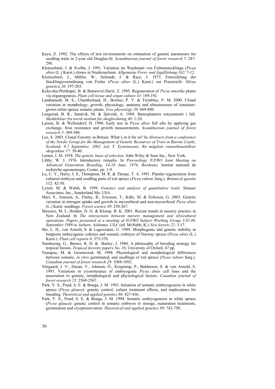- Kaya, Z. 1992. The effects of test environments on estimation of genetic parameters for seedling traits in 2-year old Douglas-fir. *Scandinavian journal of forest research 7*: 287- 296.
- Kleinschmit, J. & Svolba, J. 1991. Variation im Wachstum von Fichtenstecklinge (*Picea abies* (L.) Karst.) clones in Niedersachsen. *Allgemeine Forst- und JagdZeitung 162*: 7-12.
- Kleinschmit, J., Müller, W., Schmidt, J. & Racz, J. 1973. Entwicklung der Stecklingsvermehrung von Fichte (*Picea abies* (L.) Karst.) zur Praxisreife. *Silvae genetica 26*: 197-203.
- Kolevska-Pletikapić, B. & Buturović-Derić, Z. 1995. Regeneration of *Picea omorika* plants via organogenesis. *Plant cell tissue and organ culture 41*: 189-192.
- Lamhamedi, M. S., Chamberland, H., Bernier, P. Y. & Tremblay, F. M. 2000. Clonal variation in morphology, growth, physiology, anatomy and ultrastructure of containergrown white spruce somatic plants. *Tree physiology 20*: 869-880.
- Langerud, B. R., Sandvik, M. & Sjövold, A. 1988. Bartreplanters rotsymmetri i felt. *Meddelelser fra norsk institutt for skogforskning 40*: 1-20.
- Larsen, B. & Wellendorf, H. 1990. Early test in *Picea abies* full sibs by applying gas exchange, frost resistance and growth measurements. *Scandinavian journal of forest research 5*: 369-380.
- Lee, S. 2003. Clonal Forestry in Britain: What's in it for us? In *Abstracts from a conference of the Nordic Group for the Management of Genetic Resources of Trees in Barony Castle, Scotland, 4-7 September, 2002. (ed. T. Eysteinsson). Rit mógilsár rannsóknastöđvar skógræktar 17*: 39-40.

Lerner, I. M. 1958. *The genetic basis of selection*. John Wiley & Sons Inc., New York.

- Libby, W. J. 1976. Introductory remarks. In *Proceedings IUFRO Joint Meeting on Advanced Generation Breeding, 14-18 June, 1976, Bordeaux*. Institut national de rechèrche agronomique, Cestas. pp. 1-9.
- Lu, C. Y., Harry, I. S., Thompson, M. R. & Thorpe, T. A. 1991. Plantlet regeneration from cultured embryos and seedling parts of red spruce (*Picea rubens* Sarg.). *Botanical gazette*   $152 \cdot 42 - 50$
- Lynch, M. & Walsh, B. 1998. *Genetics and analysis of quantitative traits.* Sinauer Associates, Inc., Sunderland Ma. USA.
- Mari, S., Jonsson, A., Finlay, R., Ericsson, T., Kähr, M. & Eriksson, G. 2003. Genetic variation in nitrogen uptake and growth in mycorrhizal and non-mycorrhizal *Picea abies* (L.) Karst. seedlings. *Forest science 49*: 258-267.
- Menzies, M. I., Holden, D. G. & Klomp, B. K. 2001. Recent trends in nursery practice in New Zealand. In *The interactions between nursery management and silvicultural operations. Papers presented at a meeting of IUFRO Subject Working Group 3.02.00, September 1999 in Auburn, Alabama, USA.* (ed. McNabb, K.) *New forests 22*: 3-17.
- Mo, L. H., von Arnold, S. & Lagercrantz, U. 1989. Morphogenic and genetic stability in longterm embryogenic cultures and somatic embryos of Norway spruce (*Picea abies* (L.) Karst.). *Plant cell reports 8*: 375-378.
- Namkoong, G., Barnes, R. D. & Burley, J. 1980. A philosophy of breeding strategy for tropical forests. *Tropical forestry papers No. 16*, University of Oxford. 67 pp.
- Nsangou, M. & Greenwood, M. 1998. Physiological and morphological differences between somatic, *in vitro* germinated, and seedlings of red spruce (*Picea rubens* Sarg.). *Canadian journal of forest research 28*: 1088-1092.
- Nörgaard, J. V., Duran, V., Johnsen, Ö., Krogstrup, P., Baldurson, S. & von Arnold, S. 1993. Variations in cryotolerance of embryogenic *Picea abies* cell lines and the association to genetic, morphological and physiological factors. *Canadian journal of forest research 23*: 2560-2567.
- Park, Y. S., Pond, S. E. & Bonga, J. M. 1993. Initiation of somatic embryogenesis in white spruce (*Picea glauca*): genetic control, culture treatment effects, and implications for breeding. *Theoretical and applied genetics 86*: 427-436.
- Park, Y. S., Pond, S. E. & Bonga, J. M. 1994. Somatic embryogenesis in white spruce (*Picea glauca*): genetic control in somatic embryos to storage, maturation treatments, germination and cryopreservation. *Theoretical and applied genetics 89*: 742-750.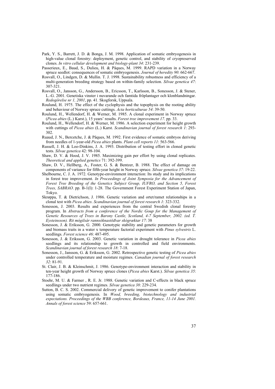- Park, Y. S., Barrett, J. D. & Bonga, J. M. 1998. Application of somatic embryogenesis in high-value clonal forestry: deployment, genetic control, and stability of cryopreserved clones. *In vitro cellular development and biology-plant 34*: 231-239.
- Passerieux, E., Baud, S., Dulieu, H. & Pâques, M. 1999. RAPD variation in a Norway spruce seedlot: consequences of somatic embryogenesis. *Journal of heredity 90*: 662-667.
- Rosvall, O., Lindgen, D. & Mullin. T. J. 1998. Sustainability robustness and efficiency of a multi-generation breeding strategy based on within-family selection. *Silvae genetica 47*: 307-321.
- Rosvall, O., Jansson, G., Andersson, B., Ericsson, T., Karlsson, B., Sonesson, J. & Stener, L.-G. 2001. Genetiska vinster i nuvarande och famtida fröplantager och klonblandningar. *Redogörelse nr 1, 2001*, pp. 41. Skogforsk, Uppsala.
- Roulund, H. 1975. The effect of the cyclophysis and the topophysis on the rooting ability and behaviour of Norway spruce cuttings. *Acta horticulturae 54*: 39-50.
- Roulund, H., Wellendorf, H. & Werner, M. 1985. A clonal experiment in Norway spruce (*Picea abies* (L.) Karst.), 15 years' results. *Forest tree improvement 17*. pp. 33.
- Roulund, H., Wellendorf, H. & Werner, M. 1986. A selection experiment for height growth with cuttings of *Picea abies* (L.) Karst. *Scandinavian journal of forest research 1*: 293- 302.
- Ruaud, J. N., Bercetche, J. & Pâques, M. 1992. First evidence of somatic embryos deriving from needles of 1-year-old *Picea abies* plants. *Plant cell reports 11*: 563-566.
- Russell, J. H. & Loo-Dinkins, J. A. 1993. Distribution of testing effort in cloned genetic tests. *Silvae genetica* 42: 98-104.
- Shaw, D. V. & Hood, J. V. 1985. Maximizing gain per effort by using clonal replicates. *Theoretical and applied genetics* 71: 392-399.
- Shaw, D. V., Hellberg, A., Foster, G. S. & Bentzer, B. 1988. The effect of damage on components of variance for fifth-year height in Norway spruce. *Silvae genetica 37*: 19-22.
- Shelbourne, C. J. A. 1972. Genotype-environment interaction: Its study and its implications in forest tree improvement. *In Proceedings of Joint Symposia for the Advancement of Forest Tree Breeding of the Genetics Subject Group, IUFRO, and Section 5, Forest Trees, SABRAO*. pp. B-1(I): 1-28. The Government Forest Experiment Station of Japan, Tokyo.
- Skrøppa, T. & Dietrichson, J. 1986. Genetic variation and ortet/ramet relationships in a clonal test with *Picea abies*. *Scandinavian journal of forest research 1*: 323-332.
- Sonesson, J. 2003. Results and experiences from the central Swedish clonal forestry program. In *Abstracts from a conference of the Nordic Goup for the Management of Genetic Resources of Trees in Barony Castle, Scotland, 4-7 September, 2002. (ed. T. Eysteinsson). Rit mógilsár rannsóknastöđvar skógræktar 17*: 38
- Sonesson, J. & Eriksson, G. 2000. Genotypic stability and genetic parameters for growth and biomass traits in a water x temperature factorial experiment with *Pinus sylvestris* L. seedlings. *Forest science 46*: 487-495.
- Sonesson, J. & Eriksson, G. 2003. Genetic variation in drought tolerance in *Picea abies* seedlings and its relationship to growth in controlled and field environments. *Scandinavian journal of forest research 18*: 7-18.
- Sonesson, J., Jansson, G. & Eriksson, G. 2002. Retrospective genetic testing of *Picea abies* under controlled temperature and moisture regimes. *Canadian journal of forest research 32*: 81-91.
- St. Clair, J. B. & Kleinschmit, J. 1986. Genotype-environment interaction and stability in ten-year height growth of Norway spruce clones (*Picea abies* Karst.). *Silvae genetica 35*: 177-186.
- Stoehr, M. U. & Farmer , R. E. Jr. 1988. Genetic variation and C-effects in black spruce seedlings under two nutrient regimes. *Silvae genetica 38*: 229-234.
- Sutton, B. C. S. 2002. Commercial delivery of genetic improvement to conifer plantations using somatic embryogenesis. In *Wood, breeding, biotechnology and industrial expectations. Proceedings of the WBB conference, Bordeaux, France, 11-14 June 2001. Annals of forest science* 59: 657-661.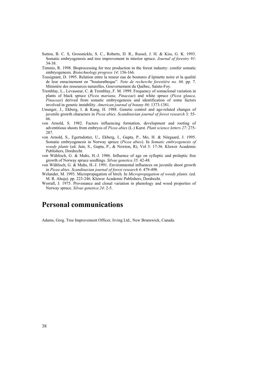- Sutton, B. C. S, Grossnickle, S. C., Roberts, D. R., Russel, J. H. & Kiss, G. K. 1993. Somatic embryogenesis and tree improvement in interior spruce. *Journal of forestry 91*: 34-38.
- Timmis, R. 1998. Bioprocessing for tree production in the forest industry: conifer somatic embryogenesis. *Biotechnology progress 14*: 156-166.
- Tousignant, D. 1995. Relation entre la teneur eau de boutures d'épinette noire et la qualité de leur enracinement en "bouturatheque". *Note de recherche forestiére no. 66*. pp. 7. Ministére des ressources naturelles, Gouvernement du Québec, Sainte-Foy.
- Tremblay, L., Levasseur, C. & Tremblay, F. M. 1999. Frequency of somaclonal variation in plants of black spruce (*Picea mariana, Pinaceae*) and white spruce (*Picea glauca, Pinaceae*) derived from somatic embryogenesis and identification of some factors involved in genetic instability. *American journal of botany 86*: 1373-1381.
- Ununger, J., Ekberg, I. & Kang, H. 1988. Genetic control and age-related changes of juvenile growth characters in *Picea abies*. *Scandinavian journal of forest research* 3: 55- 66.
- von Arnold, S. 1982. Factors influencing formation, development and rooting of adventitious shoots from embryos of *Picea abies* (L.) Karst. *Plant science letters 27*: 275- 287.
- von Arnold, S., Egertsdotter, U., Ekberg, I., Gupta, P., Mo, H. & Nörgaard, J. 1995. Somatic embryogenesis in Norway spruce (*Picea abies*). In *Somatic embryogenesis of woody plants* (ed. Jain, S., Gupta, P., & Newton, R), Vol 3: 17-36. Kluwer Academic Publishers, Dordrecht.
- von Wühlisch, G. & Muhs, H.-J. 1986. Influence of age on sylleptic and proleptic free growth of Norway spruce seedlings. *Silvae genetica 35*: 42-48.
- von Wühlisch, G. & Muhs, H.-J. 1991. Environmental influences on juvenile shoot growth in *Picea abies*. *Scandinavian journal of forest research 6*: 479-498.
- Welander, M. 1993. Micropropagation of birch. In *Micropropagation of woody plants*. (ed. M. R. Ahuja). pp. 223-246. Kluwer Academic Publishers, Dordrecht.
- Worrall, J. 1975. Provenance and clonal variation in phenology and wood properties of Norway spruce. *Silvae genetica 24*: 2-5.

### **Personal communications**

Adams, Greg. Tree Improvement Officer, Irving Ltd., New Brunswick, Canada.